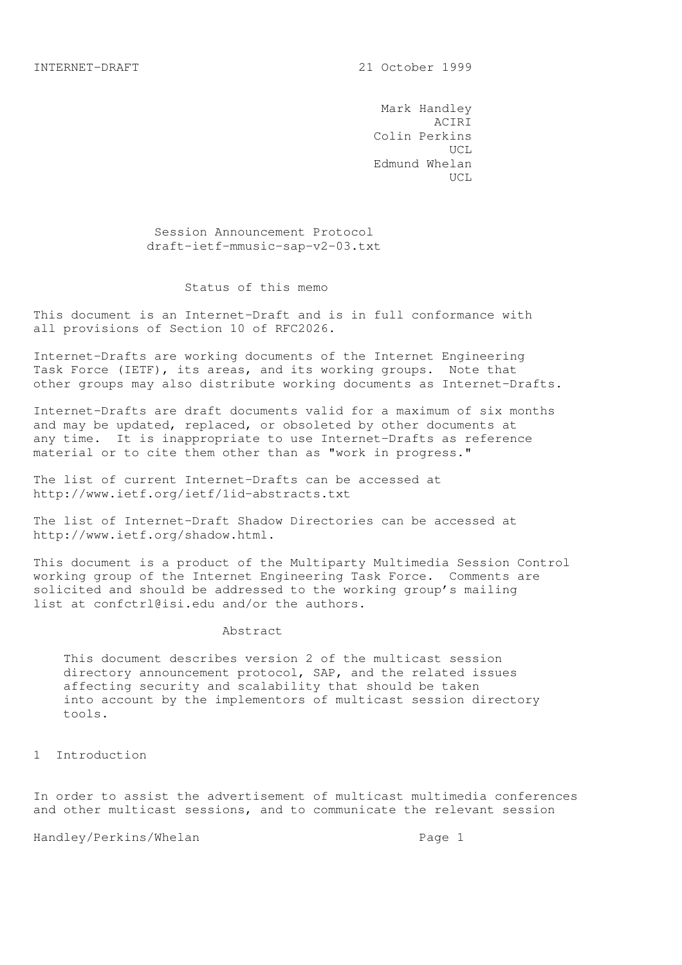Mark Handley ACIRI Colin Perkins UCL Edmund Whelan UCL

> Session Announcement Protocol draft-ietf-mmusic-sap-v2-03.txt

## Status of this memo

This document is an Internet-Draft and is in full conformance with all provisions of Section 10 of RFC2026.

Internet-Drafts are working documents of the Internet Engineering Task Force (IETF), its areas, and its working groups. Note that other groups may also distribute working documents as Internet-Drafts.

Internet-Drafts are draft documents valid for a maximum of six months and may be updated, replaced, or obsoleted by other documents at any time. It is inappropriate to use Internet-Drafts as reference material or to cite them other than as "work in progress."

The list of current Internet-Drafts can be accessed at http://www.ietf.org/ietf/1id-abstracts.txt

The list of Internet-Draft Shadow Directories can be accessed at http://www.ietf.org/shadow.html.

This document is a product of the Multiparty Multimedia Session Control working group of the Internet Engineering Task Force. Comments are solicited and should be addressed to the working group's mailing list at confctrl@isi.edu and/or the authors.

## Abstract

 This document describes version 2 of the multicast session directory announcement protocol, SAP, and the related issues affecting security and scalability that should be taken into account by the implementors of multicast session directory tools.

1 Introduction

In order to assist the advertisement of multicast multimedia conferences and other multicast sessions, and to communicate the relevant session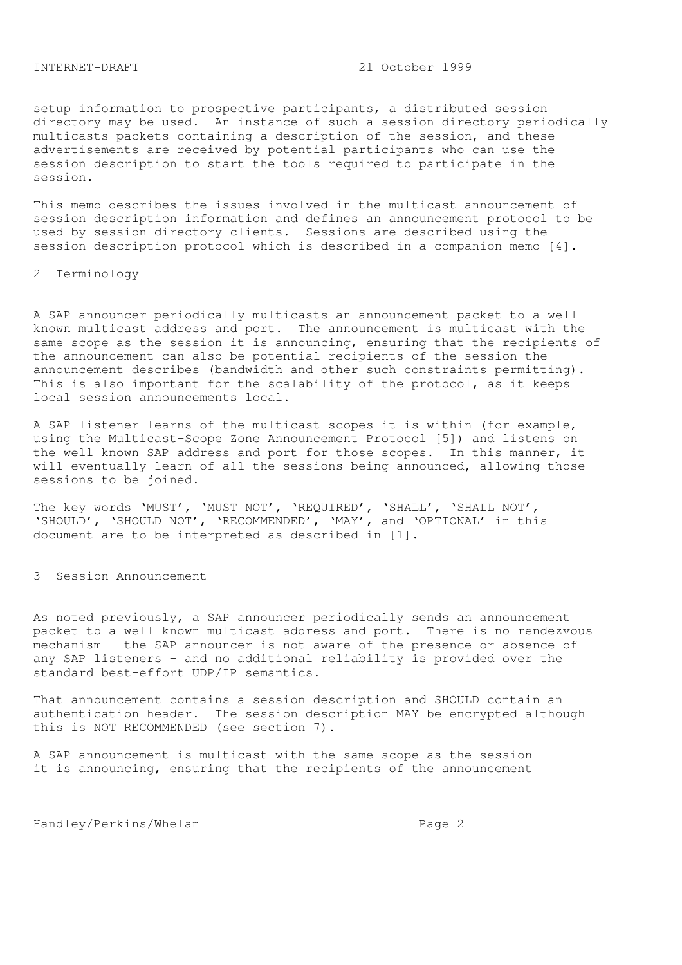setup information to prospective participants, a distributed session directory may be used. An instance of such a session directory periodically multicasts packets containing a description of the session, and these advertisements are received by potential participants who can use the session description to start the tools required to participate in the session.

This memo describes the issues involved in the multicast announcement of session description information and defines an announcement protocol to be used by session directory clients. Sessions are described using the session description protocol which is described in a companion memo [4].

2 Terminology

A SAP announcer periodically multicasts an announcement packet to a well known multicast address and port. The announcement is multicast with the same scope as the session it is announcing, ensuring that the recipients of the announcement can also be potential recipients of the session the announcement describes (bandwidth and other such constraints permitting). This is also important for the scalability of the protocol, as it keeps local session announcements local.

A SAP listener learns of the multicast scopes it is within (for example, using the Multicast-Scope Zone Announcement Protocol [5]) and listens on the well known SAP address and port for those scopes. In this manner, it will eventually learn of all the sessions being announced, allowing those sessions to be joined.

The key words 'MUST', 'MUST NOT', 'REQUIRED', 'SHALL', 'SHALL NOT', 'SHOULD', 'SHOULD NOT', 'RECOMMENDED', 'MAY', and 'OPTIONAL' in this document are to be interpreted as described in [1].

3 Session Announcement

As noted previously, a SAP announcer periodically sends an announcement packet to a well known multicast address and port. There is no rendezvous mechanism - the SAP announcer is not aware of the presence or absence of any SAP listeners - and no additional reliability is provided over the standard best-effort UDP/IP semantics.

That announcement contains a session description and SHOULD contain an authentication header. The session description MAY be encrypted although this is NOT RECOMMENDED (see section 7).

A SAP announcement is multicast with the same scope as the session it is announcing, ensuring that the recipients of the announcement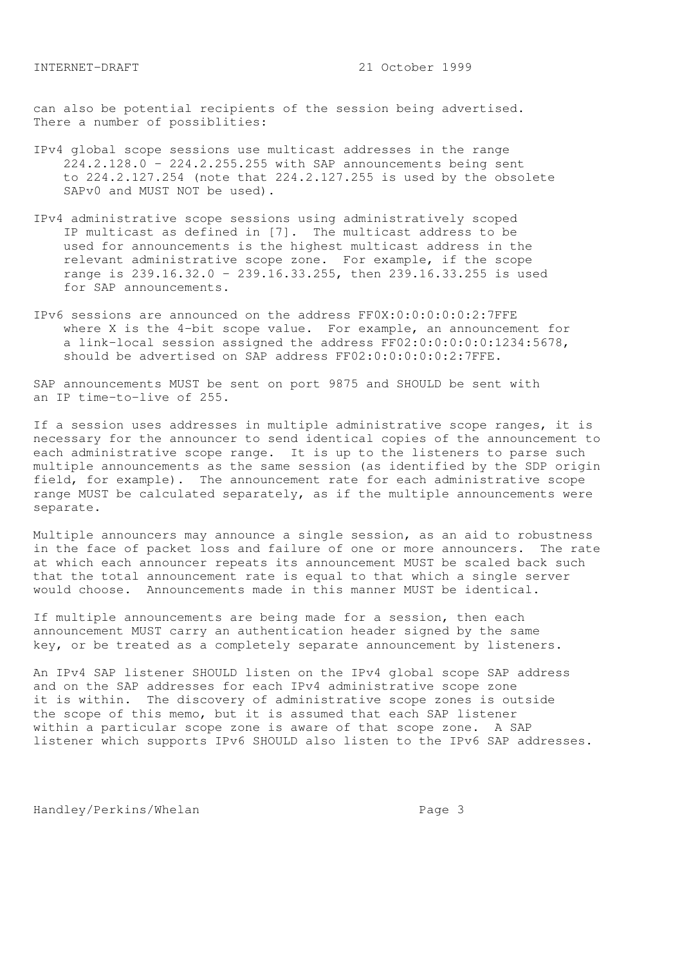can also be potential recipients of the session being advertised. There a number of possiblities:

- IPv4 global scope sessions use multicast addresses in the range 224.2.128.0 - 224.2.255.255 with SAP announcements being sent to 224.2.127.254 (note that 224.2.127.255 is used by the obsolete SAPv0 and MUST NOT be used).
- IPv4 administrative scope sessions using administratively scoped IP multicast as defined in [7]. The multicast address to be used for announcements is the highest multicast address in the relevant administrative scope zone. For example, if the scope range is 239.16.32.0 - 239.16.33.255, then 239.16.33.255 is used for SAP announcements.
- IPv6 sessions are announced on the address FF0X:0:0:0:0:0:2:7FFE where X is the 4-bit scope value. For example, an announcement for a link-local session assigned the address FF02:0:0:0:0:0:1234:5678, should be advertised on SAP address FF02:0:0:0:0:0:2:7FFE.

SAP announcements MUST be sent on port 9875 and SHOULD be sent with an IP time-to-live of 255.

If a session uses addresses in multiple administrative scope ranges, it is necessary for the announcer to send identical copies of the announcement to each administrative scope range. It is up to the listeners to parse such multiple announcements as the same session (as identified by the SDP origin field, for example). The announcement rate for each administrative scope range MUST be calculated separately, as if the multiple announcements were separate.

Multiple announcers may announce a single session, as an aid to robustness in the face of packet loss and failure of one or more announcers. The rate at which each announcer repeats its announcement MUST be scaled back such that the total announcement rate is equal to that which a single server would choose. Announcements made in this manner MUST be identical.

If multiple announcements are being made for a session, then each announcement MUST carry an authentication header signed by the same key, or be treated as a completely separate announcement by listeners.

An IPv4 SAP listener SHOULD listen on the IPv4 global scope SAP address and on the SAP addresses for each IPv4 administrative scope zone it is within. The discovery of administrative scope zones is outside the scope of this memo, but it is assumed that each SAP listener within a particular scope zone is aware of that scope zone. A SAP listener which supports IPv6 SHOULD also listen to the IPv6 SAP addresses.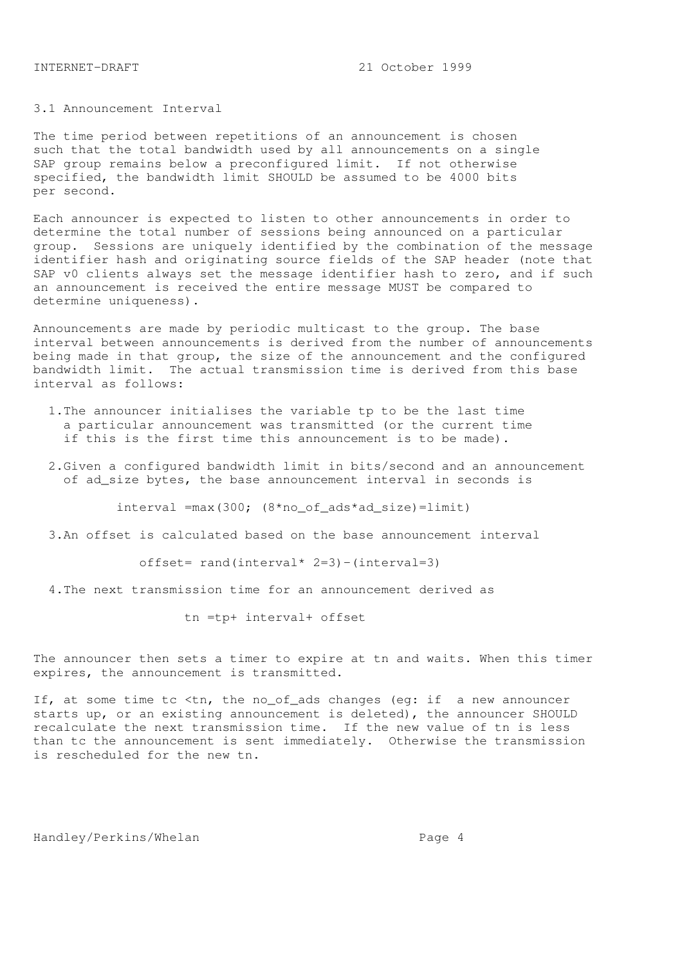# 3.1 Announcement Interval

The time period between repetitions of an announcement is chosen such that the total bandwidth used by all announcements on a single SAP group remains below a preconfigured limit. If not otherwise specified, the bandwidth limit SHOULD be assumed to be 4000 bits per second.

Each announcer is expected to listen to other announcements in order to determine the total number of sessions being announced on a particular group. Sessions are uniquely identified by the combination of the message identifier hash and originating source fields of the SAP header (note that SAP v0 clients always set the message identifier hash to zero, and if such an announcement is received the entire message MUST be compared to determine uniqueness).

Announcements are made by periodic multicast to the group. The base interval between announcements is derived from the number of announcements being made in that group, the size of the announcement and the configured bandwidth limit. The actual transmission time is derived from this base interval as follows:

- 1.The announcer initialises the variable tp to be the last time a particular announcement was transmitted (or the current time if this is the first time this announcement is to be made).
- 2.Given a configured bandwidth limit in bits/second and an announcement of ad\_size bytes, the base announcement interval in seconds is

interval =max(300; (8\*no\_of\_ads\*ad\_size)=limit)

3.An offset is calculated based on the base announcement interval

offset= rand(interval\* 2=3)-(interval=3)

4.The next transmission time for an announcement derived as

tn =tp+ interval+ offset

The announcer then sets a timer to expire at tn and waits. When this timer expires, the announcement is transmitted.

If, at some time tc <tn, the no\_of\_ads changes (eg: if a new announcer starts up, or an existing announcement is deleted), the announcer SHOULD recalculate the next transmission time. If the new value of tn is less than tc the announcement is sent immediately. Otherwise the transmission is rescheduled for the new tn.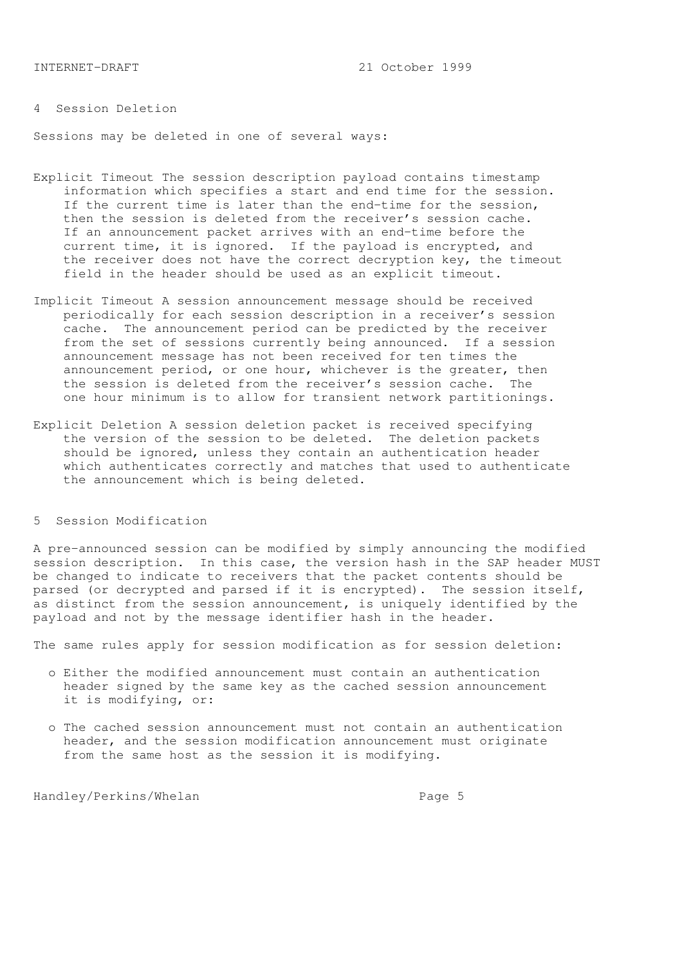# 4 Session Deletion

Sessions may be deleted in one of several ways:

- Explicit Timeout The session description payload contains timestamp information which specifies a start and end time for the session. If the current time is later than the end-time for the session, then the session is deleted from the receiver's session cache. If an announcement packet arrives with an end-time before the current time, it is ignored. If the payload is encrypted, and the receiver does not have the correct decryption key, the timeout field in the header should be used as an explicit timeout.
- Implicit Timeout A session announcement message should be received periodically for each session description in a receiver's session cache. The announcement period can be predicted by the receiver from the set of sessions currently being announced. If a session announcement message has not been received for ten times the announcement period, or one hour, whichever is the greater, then the session is deleted from the receiver's session cache. The one hour minimum is to allow for transient network partitionings.
- Explicit Deletion A session deletion packet is received specifying the version of the session to be deleted. The deletion packets should be ignored, unless they contain an authentication header which authenticates correctly and matches that used to authenticate the announcement which is being deleted.

## 5 Session Modification

A pre-announced session can be modified by simply announcing the modified session description. In this case, the version hash in the SAP header MUST be changed to indicate to receivers that the packet contents should be parsed (or decrypted and parsed if it is encrypted). The session itself, as distinct from the session announcement, is uniquely identified by the payload and not by the message identifier hash in the header.

The same rules apply for session modification as for session deletion:

- o Either the modified announcement must contain an authentication header signed by the same key as the cached session announcement it is modifying, or:
- o The cached session announcement must not contain an authentication header, and the session modification announcement must originate from the same host as the session it is modifying.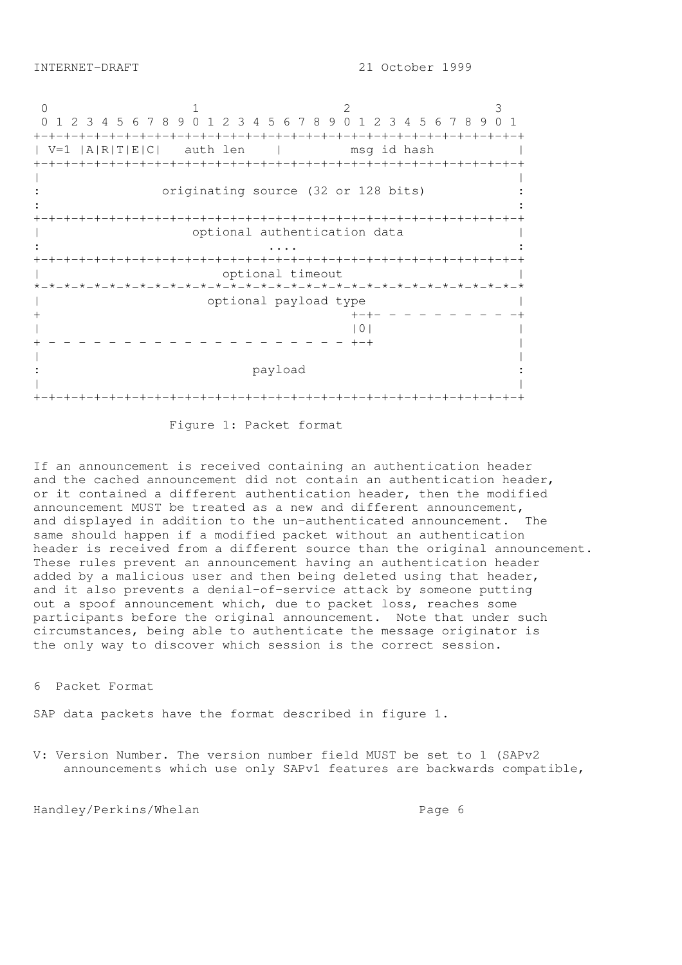0 1 2 3 0 1 2 3 4 5 6 7 8 9 0 1 2 3 4 5 6 7 8 9 0 1 2 3 4 5 6 7 8 9 0 1 +-+-+-+-+-+-+-+-+-+-+-+-+-+-+-+-+-+-+-+-+-+-+-+-+-+-+-+-+-+-+-+-+ | V=1 |A|R|T|E|C| auth len | msg id hash | +-+-+-+-+-+-+-+-+-+-+-+-+-+-+-+-+-+-+-+-+-+-+-+-+-+-+-+-+-+-+-+-+ | | originating source (32 or 128 bits) :  $\mathbf{r} = \mathbf{r} \times \mathbf{r}$  ,  $\mathbf{r} = \mathbf{r} \times \mathbf{r}$  ,  $\mathbf{r} = \mathbf{r} \times \mathbf{r}$  ,  $\mathbf{r} = \mathbf{r} \times \mathbf{r}$  ,  $\mathbf{r} = \mathbf{r} \times \mathbf{r}$  ,  $\mathbf{r} = \mathbf{r} \times \mathbf{r}$  ,  $\mathbf{r} = \mathbf{r} \times \mathbf{r}$  ,  $\mathbf{r} = \mathbf{r} \times \mathbf{r}$  ,  $\mathbf{r} = \mathbf$ +-+-+-+-+-+-+-+-+-+-+-+-+-+-+-+-+-+-+-+-+-+-+-+-+-+-+-+-+-+-+-+-+ | optional authentication data | : .... : +-+-+-+-+-+-+-+-+-+-+-+-+-+-+-+-+-+-+-+-+-+-+-+-+-+-+-+-+-+-+-+-+ optional timeout \*-\*-\*-\*-\*-\*-\*-\*-\*-\*-\*-\*-\*-\*-\*-\*-\*-\*-\*-\*-\*-\*-\*-\*-\*-\*-\*-\*-\*-\*-\*-\*-\* | optional payload type | + +-+- - - - - - - - - -+  $|0|$ + - - - - - - - - - - - - - - - - - - - - +-+ | | | payload | | +-+-+-+-+-+-+-+-+-+-+-+-+-+-+-+-+-+-+-+-+-+-+-+-+-+-+-+-+-+-+-+-+

Figure 1: Packet format

If an announcement is received containing an authentication header and the cached announcement did not contain an authentication header, or it contained a different authentication header, then the modified announcement MUST be treated as a new and different announcement, and displayed in addition to the un-authenticated announcement. The same should happen if a modified packet without an authentication header is received from a different source than the original announcement. These rules prevent an announcement having an authentication header added by a malicious user and then being deleted using that header, and it also prevents a denial-of-service attack by someone putting out a spoof announcement which, due to packet loss, reaches some participants before the original announcement. Note that under such circumstances, being able to authenticate the message originator is the only way to discover which session is the correct session.

6 Packet Format

SAP data packets have the format described in figure 1.

V: Version Number. The version number field MUST be set to 1 (SAPv2 announcements which use only SAPv1 features are backwards compatible,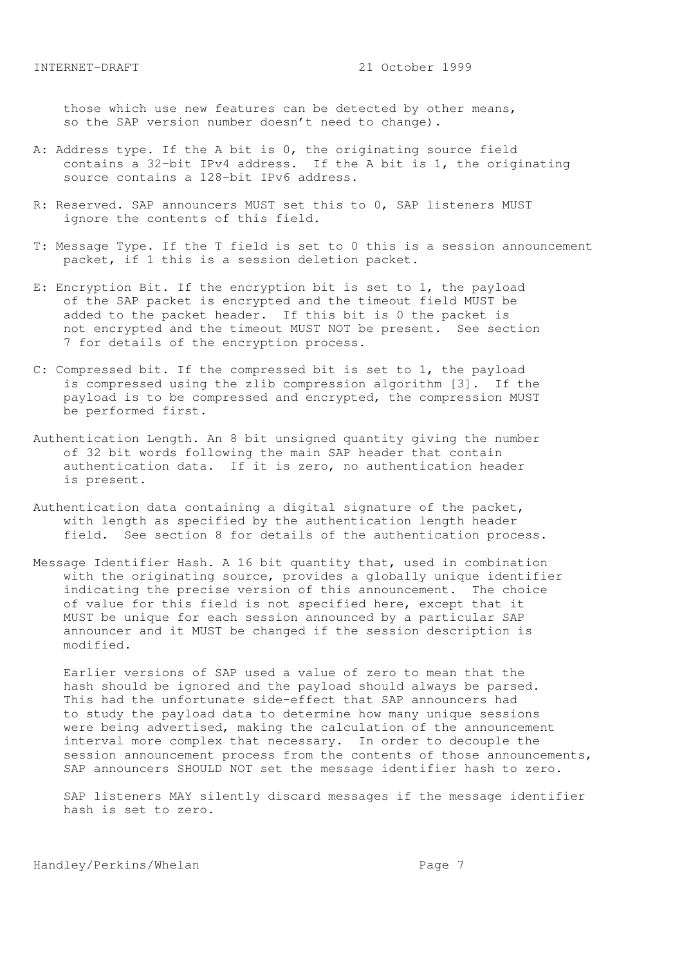those which use new features can be detected by other means, so the SAP version number doesn't need to change).

- A: Address type. If the A bit is 0, the originating source field contains a 32-bit IPv4 address. If the A bit is 1, the originating source contains a 128-bit IPv6 address.
- R: Reserved. SAP announcers MUST set this to 0, SAP listeners MUST ignore the contents of this field.
- T: Message Type. If the T field is set to 0 this is a session announcement packet, if 1 this is a session deletion packet.
- E: Encryption Bit. If the encryption bit is set to 1, the payload of the SAP packet is encrypted and the timeout field MUST be added to the packet header. If this bit is 0 the packet is not encrypted and the timeout MUST NOT be present. See section 7 for details of the encryption process.
- C: Compressed bit. If the compressed bit is set to 1, the payload is compressed using the zlib compression algorithm [3]. If the payload is to be compressed and encrypted, the compression MUST be performed first.
- Authentication Length. An 8 bit unsigned quantity giving the number of 32 bit words following the main SAP header that contain authentication data. If it is zero, no authentication header is present.
- Authentication data containing a digital signature of the packet, with length as specified by the authentication length header field. See section 8 for details of the authentication process.
- Message Identifier Hash. A 16 bit quantity that, used in combination with the originating source, provides a globally unique identifier indicating the precise version of this announcement. The choice of value for this field is not specified here, except that it MUST be unique for each session announced by a particular SAP announcer and it MUST be changed if the session description is modified.

 Earlier versions of SAP used a value of zero to mean that the hash should be ignored and the payload should always be parsed. This had the unfortunate side-effect that SAP announcers had to study the payload data to determine how many unique sessions were being advertised, making the calculation of the announcement interval more complex that necessary. In order to decouple the session announcement process from the contents of those announcements, SAP announcers SHOULD NOT set the message identifier hash to zero.

 SAP listeners MAY silently discard messages if the message identifier hash is set to zero.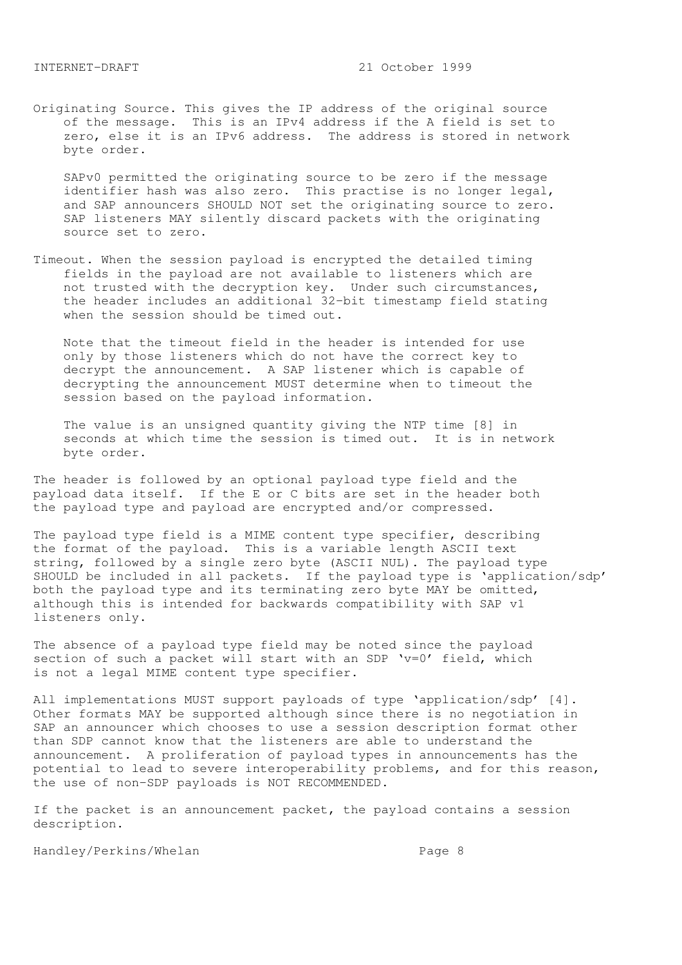Originating Source. This gives the IP address of the original source of the message. This is an IPv4 address if the A field is set to zero, else it is an IPv6 address. The address is stored in network byte order.

 SAPv0 permitted the originating source to be zero if the message identifier hash was also zero. This practise is no longer legal, and SAP announcers SHOULD NOT set the originating source to zero. SAP listeners MAY silently discard packets with the originating source set to zero.

Timeout. When the session payload is encrypted the detailed timing fields in the payload are not available to listeners which are not trusted with the decryption key. Under such circumstances, the header includes an additional 32-bit timestamp field stating when the session should be timed out.

 Note that the timeout field in the header is intended for use only by those listeners which do not have the correct key to decrypt the announcement. A SAP listener which is capable of decrypting the announcement MUST determine when to timeout the session based on the payload information.

 The value is an unsigned quantity giving the NTP time [8] in seconds at which time the session is timed out. It is in network byte order.

The header is followed by an optional payload type field and the payload data itself. If the E or C bits are set in the header both the payload type and payload are encrypted and/or compressed.

The payload type field is a MIME content type specifier, describing the format of the payload. This is a variable length ASCII text string, followed by a single zero byte (ASCII NUL). The payload type SHOULD be included in all packets. If the payload type is 'application/sdp' both the payload type and its terminating zero byte MAY be omitted, although this is intended for backwards compatibility with SAP v1 listeners only.

The absence of a payload type field may be noted since the payload section of such a packet will start with an SDP  $v=0'$  field, which is not a legal MIME content type specifier.

All implementations MUST support payloads of type 'application/sdp' [4]. Other formats MAY be supported although since there is no negotiation in SAP an announcer which chooses to use a session description format other than SDP cannot know that the listeners are able to understand the announcement. A proliferation of payload types in announcements has the potential to lead to severe interoperability problems, and for this reason, the use of non-SDP payloads is NOT RECOMMENDED.

If the packet is an announcement packet, the payload contains a session description.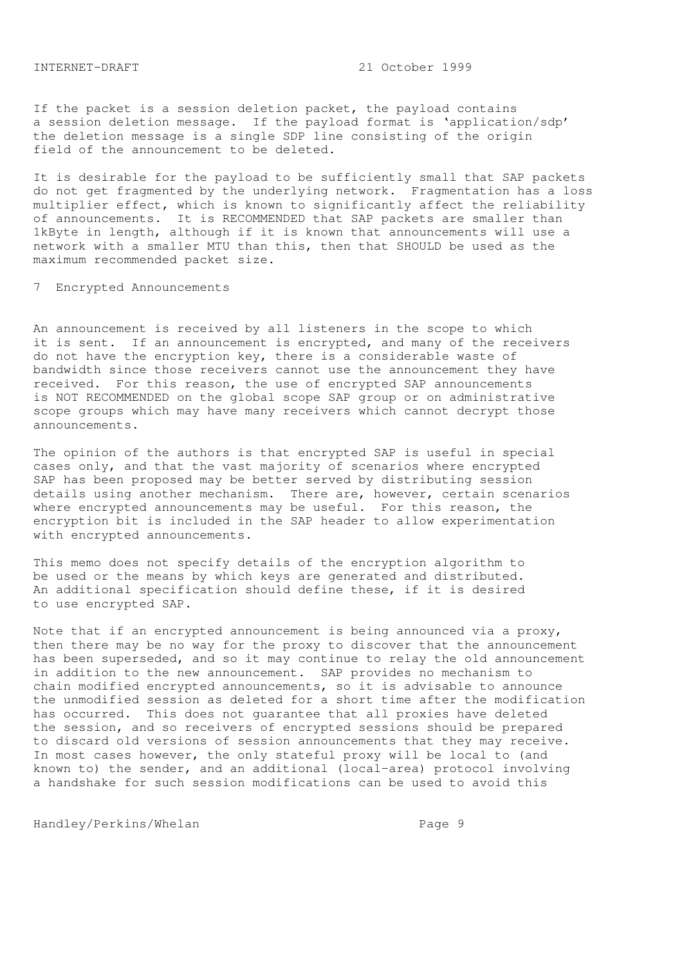If the packet is a session deletion packet, the payload contains a session deletion message. If the payload format is 'application/sdp' the deletion message is a single SDP line consisting of the origin field of the announcement to be deleted.

It is desirable for the payload to be sufficiently small that SAP packets do not get fragmented by the underlying network. Fragmentation has a loss multiplier effect, which is known to significantly affect the reliability of announcements. It is RECOMMENDED that SAP packets are smaller than 1kByte in length, although if it is known that announcements will use a network with a smaller MTU than this, then that SHOULD be used as the maximum recommended packet size.

7 Encrypted Announcements

An announcement is received by all listeners in the scope to which it is sent. If an announcement is encrypted, and many of the receivers do not have the encryption key, there is a considerable waste of bandwidth since those receivers cannot use the announcement they have received. For this reason, the use of encrypted SAP announcements is NOT RECOMMENDED on the global scope SAP group or on administrative scope groups which may have many receivers which cannot decrypt those announcements.

The opinion of the authors is that encrypted SAP is useful in special cases only, and that the vast majority of scenarios where encrypted SAP has been proposed may be better served by distributing session details using another mechanism. There are, however, certain scenarios where encrypted announcements may be useful. For this reason, the encryption bit is included in the SAP header to allow experimentation with encrypted announcements.

This memo does not specify details of the encryption algorithm to be used or the means by which keys are generated and distributed. An additional specification should define these, if it is desired to use encrypted SAP.

Note that if an encrypted announcement is being announced via a proxy, then there may be no way for the proxy to discover that the announcement has been superseded, and so it may continue to relay the old announcement in addition to the new announcement. SAP provides no mechanism to chain modified encrypted announcements, so it is advisable to announce the unmodified session as deleted for a short time after the modification has occurred. This does not guarantee that all proxies have deleted the session, and so receivers of encrypted sessions should be prepared to discard old versions of session announcements that they may receive. In most cases however, the only stateful proxy will be local to (and known to) the sender, and an additional (local-area) protocol involving a handshake for such session modifications can be used to avoid this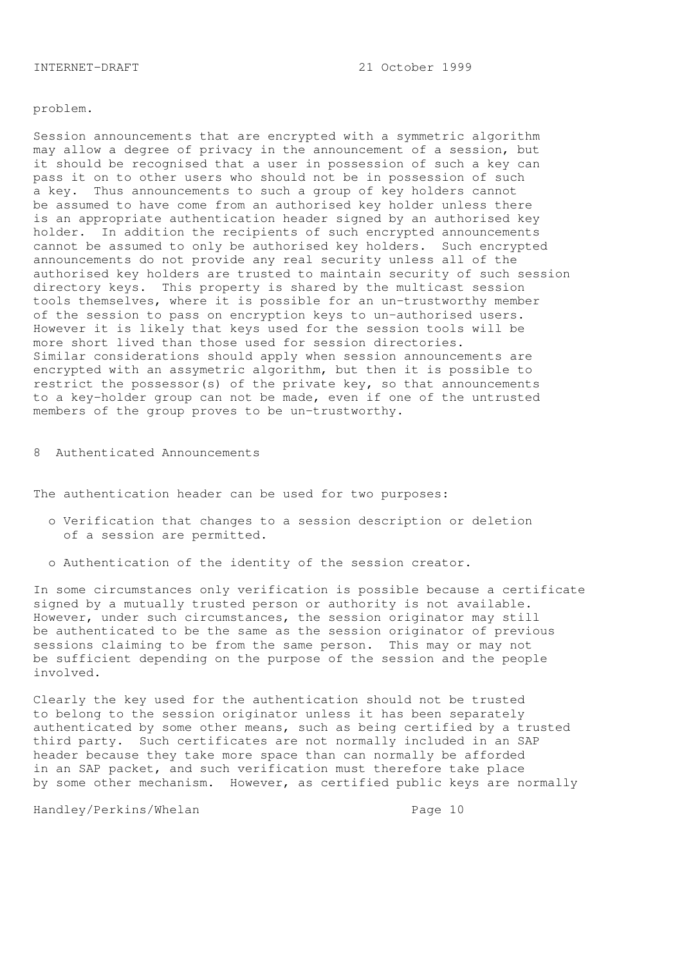#### problem.

Session announcements that are encrypted with a symmetric algorithm may allow a degree of privacy in the announcement of a session, but it should be recognised that a user in possession of such a key can pass it on to other users who should not be in possession of such a key. Thus announcements to such a group of key holders cannot be assumed to have come from an authorised key holder unless there is an appropriate authentication header signed by an authorised key holder. In addition the recipients of such encrypted announcements cannot be assumed to only be authorised key holders. Such encrypted announcements do not provide any real security unless all of the authorised key holders are trusted to maintain security of such session directory keys. This property is shared by the multicast session tools themselves, where it is possible for an un-trustworthy member of the session to pass on encryption keys to un-authorised users. However it is likely that keys used for the session tools will be more short lived than those used for session directories. Similar considerations should apply when session announcements are encrypted with an assymetric algorithm, but then it is possible to restrict the possessor(s) of the private key, so that announcements to a key-holder group can not be made, even if one of the untrusted members of the group proves to be un-trustworthy.

8 Authenticated Announcements

The authentication header can be used for two purposes:

- o Verification that changes to a session description or deletion of a session are permitted.
- o Authentication of the identity of the session creator.

In some circumstances only verification is possible because a certificate signed by a mutually trusted person or authority is not available. However, under such circumstances, the session originator may still be authenticated to be the same as the session originator of previous sessions claiming to be from the same person. This may or may not be sufficient depending on the purpose of the session and the people involved.

Clearly the key used for the authentication should not be trusted to belong to the session originator unless it has been separately authenticated by some other means, such as being certified by a trusted third party. Such certificates are not normally included in an SAP header because they take more space than can normally be afforded in an SAP packet, and such verification must therefore take place by some other mechanism. However, as certified public keys are normally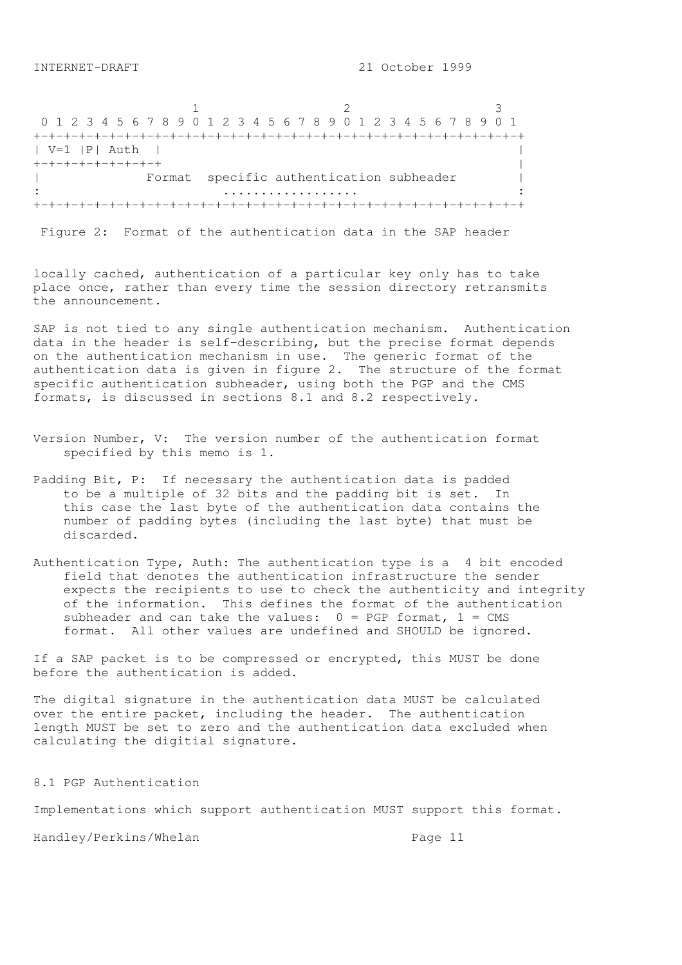1 2 3 0 1 2 3 4 5 6 7 8 9 0 1 2 3 4 5 6 7 8 9 0 1 2 3 4 5 6 7 8 9 0 1 +-+-+-+-+-+-+-+-+-+-+-+-+-+-+-+-+-+-+-+-+-+-+-+-+-+-+-+-+-+-+-+-+ | V=1 |P| Auth | | +-+-+-+-+-+-+-+-+ | Format specific authentication subheader | : .................. : +-+-+-+-+-+-+-+-+-+-+-+-+-+-+-+-+-+-+-+-+-+-+-+-+-+-+-+-+-+-+-+-+

Figure 2: Format of the authentication data in the SAP header

locally cached, authentication of a particular key only has to take place once, rather than every time the session directory retransmits the announcement.

SAP is not tied to any single authentication mechanism. Authentication data in the header is self-describing, but the precise format depends on the authentication mechanism in use. The generic format of the authentication data is given in figure 2. The structure of the format specific authentication subheader, using both the PGP and the CMS formats, is discussed in sections 8.1 and 8.2 respectively.

- Version Number, V: The version number of the authentication format specified by this memo is 1.
- Padding Bit, P: If necessary the authentication data is padded to be a multiple of 32 bits and the padding bit is set. In this case the last byte of the authentication data contains the number of padding bytes (including the last byte) that must be discarded.
- Authentication Type, Auth: The authentication type is a 4 bit encoded field that denotes the authentication infrastructure the sender expects the recipients to use to check the authenticity and integrity of the information. This defines the format of the authentication subheader and can take the values:  $0 = PGP$  format,  $1 = CMS$ format. All other values are undefined and SHOULD be ignored.

If a SAP packet is to be compressed or encrypted, this MUST be done before the authentication is added.

The digital signature in the authentication data MUST be calculated over the entire packet, including the header. The authentication length MUST be set to zero and the authentication data excluded when calculating the digitial signature.

8.1 PGP Authentication

Implementations which support authentication MUST support this format.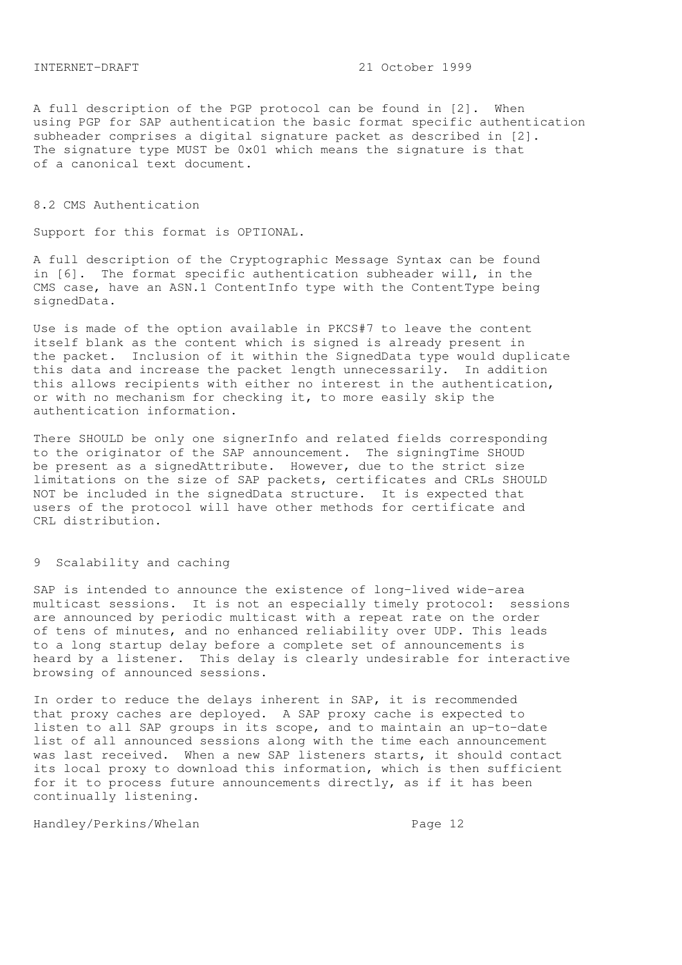A full description of the PGP protocol can be found in [2]. When using PGP for SAP authentication the basic format specific authentication subheader comprises a digital signature packet as described in [2]. The signature type MUST be 0x01 which means the signature is that of a canonical text document.

## 8.2 CMS Authentication

Support for this format is OPTIONAL.

A full description of the Cryptographic Message Syntax can be found in [6]. The format specific authentication subheader will, in the CMS case, have an ASN.1 ContentInfo type with the ContentType being signedData.

Use is made of the option available in PKCS#7 to leave the content itself blank as the content which is signed is already present in the packet. Inclusion of it within the SignedData type would duplicate this data and increase the packet length unnecessarily. In addition this allows recipients with either no interest in the authentication, or with no mechanism for checking it, to more easily skip the authentication information.

There SHOULD be only one signerInfo and related fields corresponding to the originator of the SAP announcement. The signingTime SHOUD be present as a signedAttribute. However, due to the strict size limitations on the size of SAP packets, certificates and CRLs SHOULD NOT be included in the signedData structure. It is expected that users of the protocol will have other methods for certificate and CRL distribution.

# 9 Scalability and caching

SAP is intended to announce the existence of long-lived wide-area multicast sessions. It is not an especially timely protocol: sessions are announced by periodic multicast with a repeat rate on the order of tens of minutes, and no enhanced reliability over UDP. This leads to a long startup delay before a complete set of announcements is heard by a listener. This delay is clearly undesirable for interactive browsing of announced sessions.

In order to reduce the delays inherent in SAP, it is recommended that proxy caches are deployed. A SAP proxy cache is expected to listen to all SAP groups in its scope, and to maintain an up-to-date list of all announced sessions along with the time each announcement was last received. When a new SAP listeners starts, it should contact its local proxy to download this information, which is then sufficient for it to process future announcements directly, as if it has been continually listening.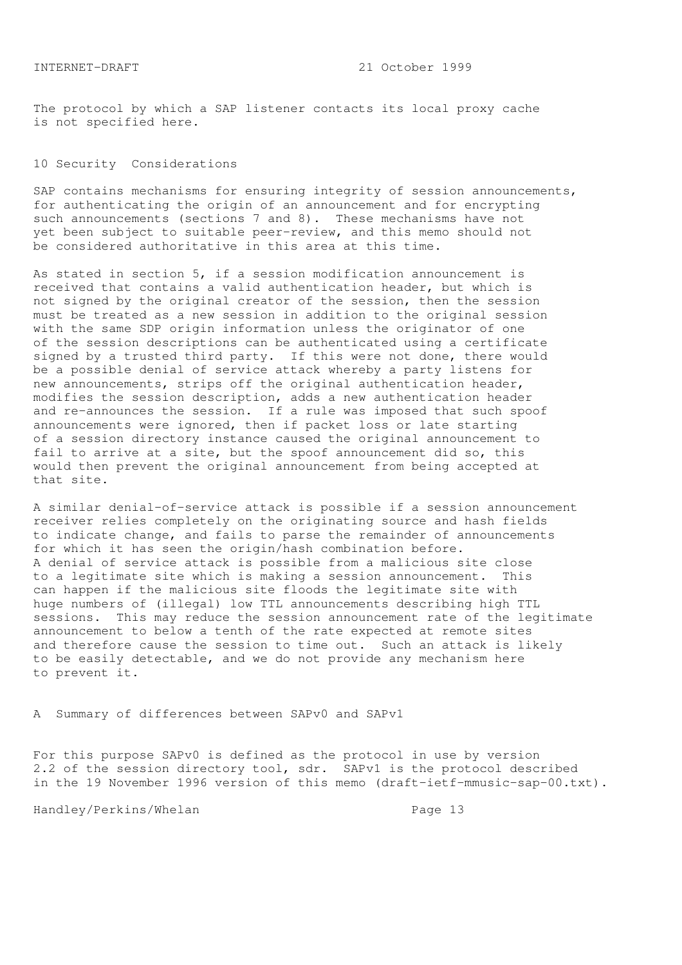The protocol by which a SAP listener contacts its local proxy cache is not specified here.

#### 10 Security Considerations

SAP contains mechanisms for ensuring integrity of session announcements, for authenticating the origin of an announcement and for encrypting such announcements (sections 7 and 8). These mechanisms have not yet been subject to suitable peer-review, and this memo should not be considered authoritative in this area at this time.

As stated in section 5, if a session modification announcement is received that contains a valid authentication header, but which is not signed by the original creator of the session, then the session must be treated as a new session in addition to the original session with the same SDP origin information unless the originator of one of the session descriptions can be authenticated using a certificate signed by a trusted third party. If this were not done, there would be a possible denial of service attack whereby a party listens for new announcements, strips off the original authentication header, modifies the session description, adds a new authentication header and re-announces the session. If a rule was imposed that such spoof announcements were ignored, then if packet loss or late starting of a session directory instance caused the original announcement to fail to arrive at a site, but the spoof announcement did so, this would then prevent the original announcement from being accepted at that site.

A similar denial-of-service attack is possible if a session announcement receiver relies completely on the originating source and hash fields to indicate change, and fails to parse the remainder of announcements for which it has seen the origin/hash combination before. A denial of service attack is possible from a malicious site close to a legitimate site which is making a session announcement. This can happen if the malicious site floods the legitimate site with huge numbers of (illegal) low TTL announcements describing high TTL sessions. This may reduce the session announcement rate of the legitimate announcement to below a tenth of the rate expected at remote sites and therefore cause the session to time out. Such an attack is likely to be easily detectable, and we do not provide any mechanism here to prevent it.

A Summary of differences between SAPv0 and SAPv1

For this purpose SAPv0 is defined as the protocol in use by version 2.2 of the session directory tool, sdr. SAPv1 is the protocol described in the 19 November 1996 version of this memo (draft-ietf-mmusic-sap-00.txt).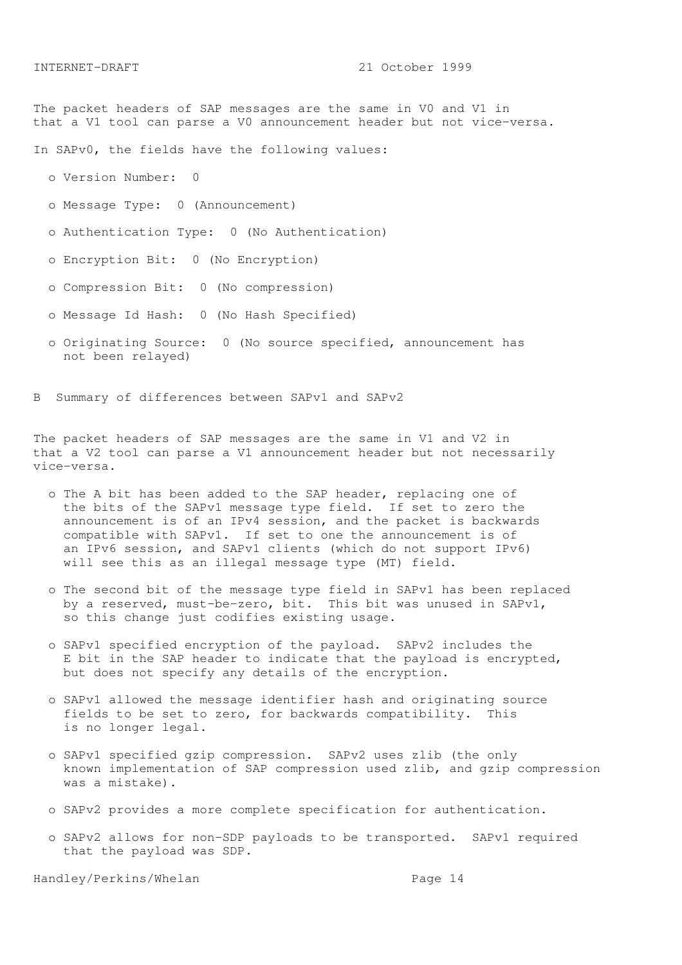The packet headers of SAP messages are the same in V0 and V1 in that a V1 tool can parse a V0 announcement header but not vice-versa.

In SAPv0, the fields have the following values:

o Version Number: 0

o Message Type: 0 (Announcement)

o Authentication Type: 0 (No Authentication)

o Encryption Bit: 0 (No Encryption)

o Compression Bit: 0 (No compression)

o Message Id Hash: 0 (No Hash Specified)

 o Originating Source: 0 (No source specified, announcement has not been relayed)

B Summary of differences between SAPv1 and SAPv2

The packet headers of SAP messages are the same in V1 and V2 in that a V2 tool can parse a V1 announcement header but not necessarily vice-versa.

- o The A bit has been added to the SAP header, replacing one of the bits of the SAPv1 message type field. If set to zero the announcement is of an IPv4 session, and the packet is backwards compatible with SAPv1. If set to one the announcement is of an IPv6 session, and SAPv1 clients (which do not support IPv6) will see this as an illegal message type (MT) field.
- o The second bit of the message type field in SAPv1 has been replaced by a reserved, must-be-zero, bit. This bit was unused in SAPv1, so this change just codifies existing usage.
- o SAPv1 specified encryption of the payload. SAPv2 includes the E bit in the SAP header to indicate that the payload is encrypted, but does not specify any details of the encryption.
- o SAPv1 allowed the message identifier hash and originating source fields to be set to zero, for backwards compatibility. This is no longer legal.
- o SAPv1 specified gzip compression. SAPv2 uses zlib (the only known implementation of SAP compression used zlib, and gzip compression was a mistake).
- o SAPv2 provides a more complete specification for authentication.
- o SAPv2 allows for non-SDP payloads to be transported. SAPv1 required that the payload was SDP.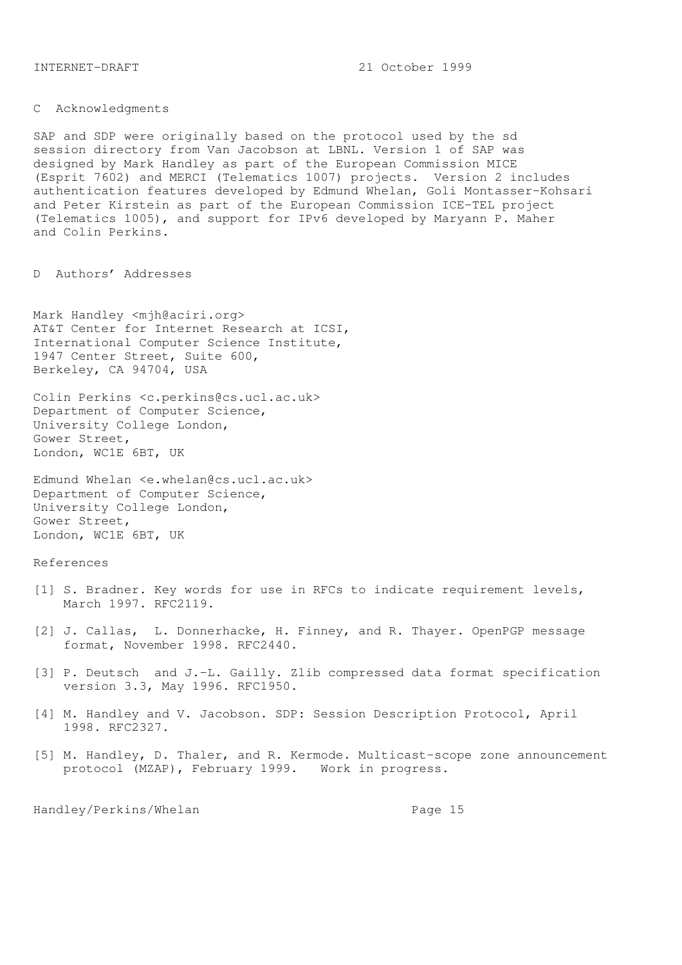C Acknowledgments

SAP and SDP were originally based on the protocol used by the sd session directory from Van Jacobson at LBNL. Version 1 of SAP was designed by Mark Handley as part of the European Commission MICE (Esprit 7602) and MERCI (Telematics 1007) projects. Version 2 includes authentication features developed by Edmund Whelan, Goli Montasser-Kohsari and Peter Kirstein as part of the European Commission ICE-TEL project (Telematics 1005), and support for IPv6 developed by Maryann P. Maher and Colin Perkins.

D Authors' Addresses

Mark Handley <mjh@aciri.org> AT&T Center for Internet Research at ICSI, International Computer Science Institute, 1947 Center Street, Suite 600, Berkeley, CA 94704, USA

Colin Perkins <c.perkins@cs.ucl.ac.uk> Department of Computer Science, University College London, Gower Street, London, WC1E 6BT, UK

Edmund Whelan <e.whelan@cs.ucl.ac.uk> Department of Computer Science, University College London, Gower Street, London, WC1E 6BT, UK

## References

- [1] S. Bradner. Key words for use in RFCs to indicate requirement levels, March 1997. RFC2119.
- [2] J. Callas, L. Donnerhacke, H. Finney, and R. Thayer. OpenPGP message format, November 1998. RFC2440.
- [3] P. Deutsch and J.-L. Gailly. Zlib compressed data format specification version 3.3, May 1996. RFC1950.
- [4] M. Handley and V. Jacobson. SDP: Session Description Protocol, April 1998. RFC2327.
- [5] M. Handley, D. Thaler, and R. Kermode. Multicast-scope zone announcement protocol (MZAP), February 1999. Work in progress.